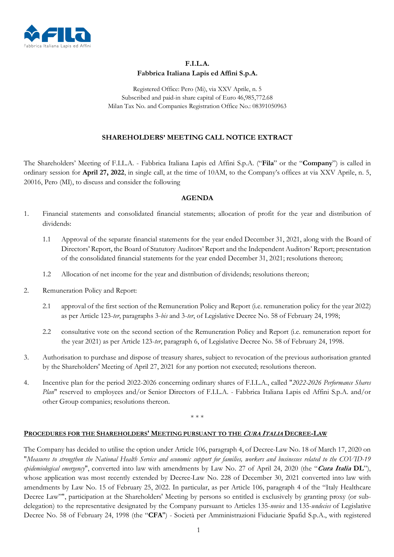

## **F.I.L.A. Fabbrica Italiana Lapis ed Affini S.p.A.**

Registered Office: Pero (Mi), via XXV Aprile, n. 5 Subscribed and paid-in share capital of Euro 46,985,772.68 Milan Tax No. and Companies Registration Office No.: 08391050963

## **SHAREHOLDERS' MEETING CALL NOTICE EXTRACT**

The Shareholders' Meeting of F.I.L.A. - Fabbrica Italiana Lapis ed Affini S.p.A. ("**Fila**" or the "**Company**") is called in ordinary session for **April 27, 2022**, in single call, at the time of 10AM, to the Company's offices at via XXV Aprile, n. 5, 20016, Pero (MI), to discuss and consider the following

## **AGENDA**

- 1. Financial statements and consolidated financial statements; allocation of profit for the year and distribution of dividends:
	- 1.1 Approval of the separate financial statements for the year ended December 31, 2021, along with the Board of Directors' Report, the Board of Statutory Auditors' Report and the Independent Auditors' Report; presentation of the consolidated financial statements for the year ended December 31, 2021; resolutions thereon;
	- 1.2 Allocation of net income for the year and distribution of dividends; resolutions thereon;
- 2. Remuneration Policy and Report:
	- 2.1 approval of the first section of the Remuneration Policy and Report (i.e. remuneration policy for the year 2022) as per Article 123-*ter*, paragraphs 3-*bis* and 3-*ter*, of Legislative Decree No. 58 of February 24, 1998;
	- 2.2 consultative vote on the second section of the Remuneration Policy and Report (i.e. remuneration report for the year 2021) as per Article 123-*ter*, paragraph 6, of Legislative Decree No. 58 of February 24, 1998.
- 3. Authorisation to purchase and dispose of treasury shares, subject to revocation of the previous authorisation granted by the Shareholders' Meeting of April 27, 2021 for any portion not executed; resolutions thereon.
- 4. Incentive plan for the period 2022-2026 concerning ordinary shares of F.I.L.A., called "*2022-2026 Performance Shares Plan*" reserved to employees and/or Senior Directors of F.I.L.A. - Fabbrica Italiana Lapis ed Affini S.p.A. and/or other Group companies; resolutions thereon.

\* \* \*

## **PROCEDURES FOR THE SHAREHOLDERS' MEETING PURSUANT TO THE CURA ITALIA DECREE-LAW**

The Company has decided to utilise the option under Article 106, paragraph 4, of Decree-Law No. 18 of March 17, 2020 on "*Measures to strengthen the National Health Service and economic support for families, workers and businesses related to the COVID-19 epidemiological emergency*", converted into law with amendments by Law No. 27 of April 24, 2020 (the "**Cura Italia DL**"), whose application was most recently extended by Decree-Law No. 228 of December 30, 2021 converted into law with amendments by Law No. 15 of February 25, 2022. In particular, as per Article 106, paragraph 4 of the "Italy Healthcare Decree Law"", participation at the Shareholders' Meeting by persons so entitled is exclusively by granting proxy (or subdelegation) to the representative designated by the Company pursuant to Articles 135-*novies* and 135-*undecies* of Legislative Decree No. 58 of February 24, 1998 (the "**CFA**") - Società per Amministrazioni Fiduciarie Spafid S.p.A., with registered